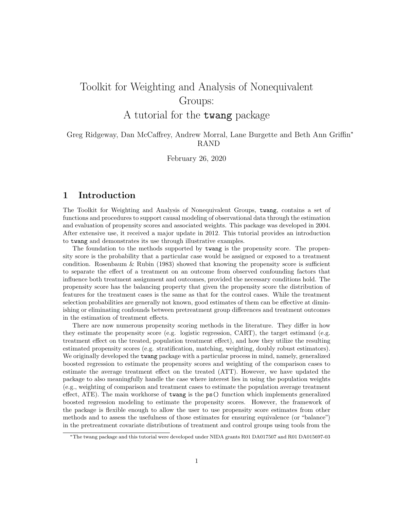# Toolkit for Weighting and Analysis of Nonequivalent Groups:

A tutorial for the twang package

Greg Ridgeway, Dan McCaffrey, Andrew Morral, Lane Burgette and Beth Ann Griffin<sup>∗</sup> RAND

February 26, 2020

# 1 Introduction

The Toolkit for Weighting and Analysis of Nonequivalent Groups, twang, contains a set of functions and procedures to support causal modeling of observational data through the estimation and evaluation of propensity scores and associated weights. This package was developed in 2004. After extensive use, it received a major update in 2012. This tutorial provides an introduction to twang and demonstrates its use through illustrative examples.

The foundation to the methods supported by twang is the propensity score. The propensity score is the probability that a particular case would be assigned or exposed to a treatment condition. Rosenbaum  $\&$  Rubin (1983) showed that knowing the propensity score is sufficient to separate the effect of a treatment on an outcome from observed confounding factors that influence both treatment assignment and outcomes, provided the necessary conditions hold. The propensity score has the balancing property that given the propensity score the distribution of features for the treatment cases is the same as that for the control cases. While the treatment selection probabilities are generally not known, good estimates of them can be effective at diminishing or eliminating confounds between pretreatment group differences and treatment outcomes in the estimation of treatment effects.

There are now numerous propensity scoring methods in the literature. They differ in how they estimate the propensity score (e.g. logistic regression, CART), the target estimand (e.g. treatment effect on the treated, population treatment effect), and how they utilize the resulting estimated propensity scores (e.g. stratification, matching, weighting, doubly robust estimators). We originally developed the **twang** package with a particular process in mind, namely, generalized boosted regression to estimate the propensity scores and weighting of the comparison cases to estimate the average treatment effect on the treated (ATT). However, we have updated the package to also meaningfully handle the case where interest lies in using the population weights (e.g., weighting of comparison and treatment cases to estimate the population average treatment effect, ATE). The main workhorse of twang is the ps() function which implements generalized boosted regression modeling to estimate the propensity scores. However, the framework of the package is flexible enough to allow the user to use propensity score estimates from other methods and to assess the usefulness of those estimates for ensuring equivalence (or "balance") in the pretreatment covariate distributions of treatment and control groups using tools from the

<sup>∗</sup>The twang package and this tutorial were developed under NIDA grants R01 DA017507 and R01 DA015697-03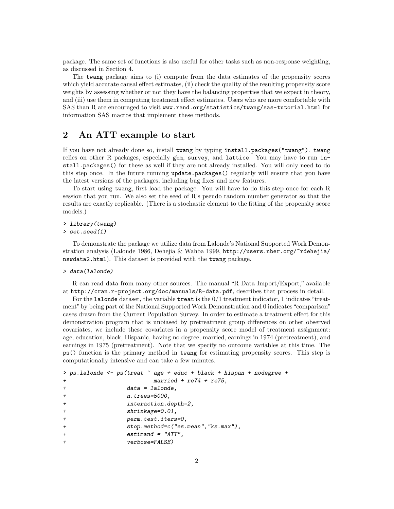package. The same set of functions is also useful for other tasks such as non-response weighting, as discussed in Section 4.

The twang package aims to (i) compute from the data estimates of the propensity scores which yield accurate causal effect estimates, (ii) check the quality of the resulting propensity score weights by assessing whether or not they have the balancing properties that we expect in theory, and (iii) use them in computing treatment effect estimates. Users who are more comfortable with SAS than R are encouraged to visit www.rand.org/statistics/twang/sas-tutorial.html for information SAS macros that implement these methods.

# 2 An ATT example to start

If you have not already done so, install twang by typing install.packages("twang"). twang relies on other R packages, especially gbm, survey, and lattice. You may have to run install.packages() for these as well if they are not already installed. You will only need to do this step once. In the future running update.packages() regularly will ensure that you have the latest versions of the packages, including bug fixes and new features.

To start using twang, first load the package. You will have to do this step once for each R session that you run. We also set the seed of R's pseudo random number generator so that the results are exactly replicable. (There is a stochastic element to the fitting of the propensity score models.)

#### > library(twang)

> set.seed(1)

To demonstrate the package we utilize data from Lalonde's National Supported Work Demonstration analysis (Lalonde 1986, Dehejia & Wahba 1999, http://users.nber.org/~rdehejia/ nswdata2.html). This dataset is provided with the twang package.

### > data(lalonde)

R can read data from many other sources. The manual "R Data Import/Export," available at http://cran.r-project.org/doc/manuals/R-data.pdf, describes that process in detail.

For the lalonde dataset, the variable treat is the  $0/1$  treatment indicator, 1 indicates "treatment"by being part of the National Supported Work Demonstration and 0 indicates "comparison" cases drawn from the Current Population Survey. In order to estimate a treatment effect for this demonstration program that is unbiased by pretreatment group differences on other observed covariates, we include these covariates in a propensity score model of treatment assignment: age, education, black, Hispanic, having no degree, married, earnings in 1974 (pretreatment), and earnings in 1975 (pretreatment). Note that we specify no outcome variables at this time. The ps() function is the primary method in twang for estimating propensity scores. This step is computationally intensive and can take a few minutes.

```
> ps.lalonde <- ps(treat ~ age + educ + black + hispan + nodegree +
+ married + re74 + re75,
+ data = lalonde,
+ n.trees=5000,
+ interaction.depth=2,
+ shrinkage=0.01,
+ perm.test.iters=0,
+ stop.method=c("es.mean","ks.max"),
+ estimand = "ATT",
            verbose=FALSE)
```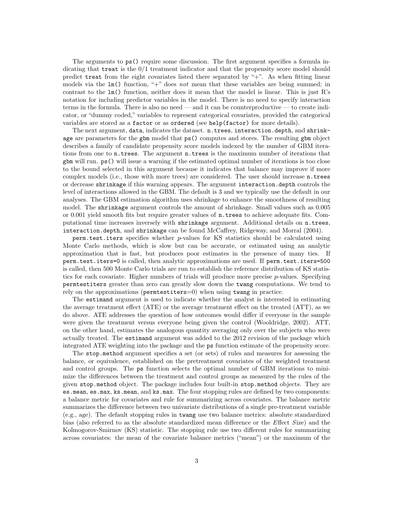The arguments to ps() require some discussion. The first argument specifies a formula indicating that treat is the 0/1 treatment indicator and that the propensity score model should predict treat from the eight covariates listed there separated by "+". As when fitting linear models via the  $lm()$  function, "+" does not mean that these variables are being summed; in contrast to the lm() function, neither does it mean that the model is linear. This is just R's notation for including predictor variables in the model. There is no need to specify interaction terms in the formula. There is also no need — and it can be counterproductive — to create indicator, or "dummy coded," variables to represent categorical covariates, provided the categorical variables are stored as a factor or as ordered (see help(factor) for more details).

The next argument, data, indicates the dataset. n.trees, interaction.depth, and shrinkage are parameters for the gbm model that ps() computes and stores. The resulting gbm object describes a family of candidate propensity score models indexed by the number of GBM iterations from one to n.trees. The argument n.trees is the maximum number of iterations that gbm will run. ps() will issue a warning if the estimated optimal number of iterations is too close to the bound selected in this argument because it indicates that balance may improve if more complex models (i.e., those with more trees) are considered. The user should increase n.trees or decrease shrinkage if this warning appears. The argument interaction.depth controls the level of interactions allowed in the GBM. The default is 3 and we typically use the default in our analyses. The GBM estimation algorithm uses shrinkage to enhance the smoothness of resulting model. The shrinkage argument controls the amount of shrinkage. Small values such as 0.005 or 0.001 yield smooth fits but require greater values of n.trees to achieve adequate fits. Computational time increases inversely with shrinkage argument. Additional details on n.trees, interaction.depth, and shrinkage can be found McCaffrey, Ridgeway, and Morral (2004).

perm.test.iters specifies whether p-values for KS statistics should be calculated using Monte Carlo methods, which is slow but can be accurate, or estimated using an analytic approximation that is fast, but produces poor estimates in the presence of many ties. If perm.test.iters=0 is called, then analytic approximations are used. If perm.test.iters=500 is called, then 500 Monte Carlo trials are run to establish the reference distribution of KS statistics for each covariate. Higher numbers of trials will produce more precise  $p$ -values. Specifying permtestiters greater than zero can greatly slow down the twang computations. We tend to rely on the approximations (permtestiters=0) when using twang in practice.

The estimand argument is used to indicate whether the analyst is interested in estimating the average treatment effect (ATE) or the average treatment effect on the treated (ATT), as we do above. ATE addresses the question of how outcomes would differ if everyone in the sample were given the treatment versus everyone being given the control (Wooldridge, 2002). ATT, on the other hand, estimates the analogous quantity averaging only over the subjects who were actually treated. The estimand argument was added to the 2012 revision of the package which integrated ATE weighting into the package and the ps function estimate of the propensity score.

The stop.method argument specifies a set (or sets) of rules and measures for assessing the balance, or equivalence, established on the pretreatment covariates of the weighted treatment and control groups. The ps function selects the optimal number of GBM iterations to minimize the differences between the treatment and control groups as measured by the rules of the given stop.method object. The package includes four built-in stop.method objects. They are es.mean, es.max, ks.mean, and ks.max. The four stopping rules are defined by two components: a balance metric for covariates and rule for summarizing across covariates. The balance metric summarizes the difference between two univariate distributions of a single pre-treatment variable (e.g., age). The default stopping rules in twang use two balance metrics: absolute standardized bias (also referred to as the absolute standardized mean difference or the Effect Size) and the Kolmogorov-Smirnov (KS) statistic. The stopping rule use two different rules for summarizing across covariates: the mean of the covariate balance metrics ("mean") or the maximum of the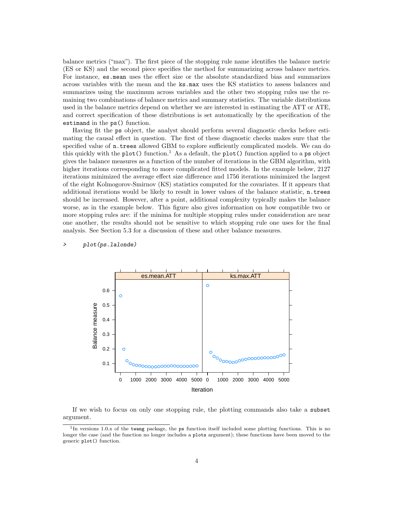balance metrics ("max"). The first piece of the stopping rule name identifies the balance metric (ES or KS) and the second piece specifies the method for summarizing across balance metrics. For instance, es.mean uses the effect size or the absolute standardized bias and summarizes across variables with the mean and the ks.max uses the KS statistics to assess balances and summarizes using the maximum across variables and the other two stopping rules use the remaining two combinations of balance metrics and summary statistics. The variable distributions used in the balance metrics depend on whether we are interested in estimating the ATT or ATE, and correct specification of these distributions is set automatically by the specification of the estimand in the ps() function.

Having fit the ps object, the analyst should perform several diagnostic checks before estimating the causal effect in question. The first of these diagnostic checks makes sure that the specified value of n.trees allowed GBM to explore sufficiently complicated models. We can do this quickly with the  $plot()$  function.<sup>1</sup> As a default, the  $plot()$  function applied to a ps object gives the balance measures as a function of the number of iterations in the GBM algorithm, with higher iterations corresponding to more complicated fitted models. In the example below, 2127 iterations minimized the average effect size difference and 1756 iterations minimized the largest of the eight Kolmogorov-Smirnov (KS) statistics computed for the covariates. If it appears that additional iterations would be likely to result in lower values of the balance statistic, n.trees should be increased. However, after a point, additional complexity typically makes the balance worse, as in the example below. This figure also gives information on how compatible two or more stopping rules are: if the minima for multiple stopping rules under consideration are near one another, the results should not be sensitive to which stopping rule one uses for the final analysis. See Section 5.3 for a discussion of these and other balance measures.



#### > plot(ps.lalonde)

If we wish to focus on only one stopping rule, the plotting commands also take a subset argument.

<sup>&</sup>lt;sup>1</sup>In versions 1.0.x of the twang package, the ps function itself included some plotting functions. This is no longer the case (and the function no longer includes a plots argument); these functions have been moved to the generic plot() function.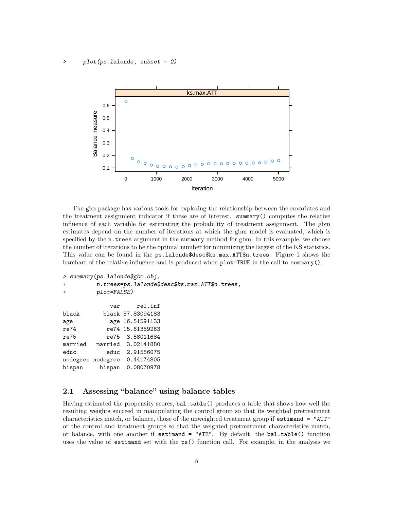

The gbm package has various tools for exploring the relationship between the covariates and the treatment assignment indicator if these are of interest. summary() computes the relative influence of each variable for estimating the probability of treatment assignment. The gbm estimates depend on the number of iterations at which the gbm model is evaluated, which is specified by the n.trees argument in the summary method for gbm. In this example, we choose the number of iterations to be the optimal number for minimizing the largest of the KS statistics. This value can be found in the ps.lalonde\$desc\$ks.max.ATT\$n.trees. Figure 1 shows the barchart of the relative influence and is produced when plot=TRUE in the call to summary().

```
> summary(ps.lalonde$gbm.obj,
```

```
+ n.trees=ps.lalonde$desc$ks.max.ATT$n.trees,
+ plot=FALSE)
```

```
var rel.inf
black black 57.83094183
age age 16.51591133
re74 re74 15.61359263
re75 re75 3.58011684
married married 3.02141880
educ educ 2.91556075
nodegree nodegree 0.44174805
hispan hispan 0.08070978
```
### 2.1 Assessing "balance" using balance tables

Having estimated the propensity scores, bal.table() produces a table that shows how well the resulting weights succeed in manipulating the control group so that its weighted pretreatment characteristics match, or balance, those of the unweighted treatment group if estimand = "ATT" or the control and treatment groups so that the weighted pretreatment characteristics match, or balance, with one another if estimand = "ATE". By default, the bal.table() function uses the value of estimand set with the ps() function call. For example, in the analysis we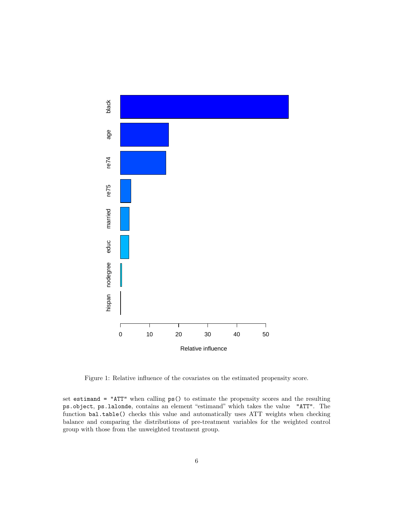

Figure 1: Relative influence of the covariates on the estimated propensity score.

set estimand = "ATT" when calling ps() to estimate the propensity scores and the resulting ps.object, ps.lalonde, contains an element "estimand" which takes the value "ATT". The function bal.table() checks this value and automatically uses ATT weights when checking balance and comparing the distributions of pre-treatment variables for the weighted control group with those from the unweighted treatment group.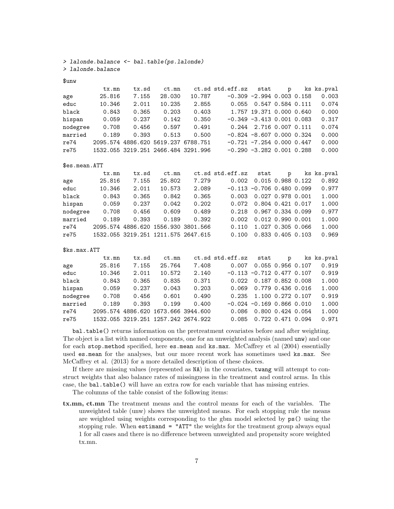> lalonde.balance <- bal.table(ps.lalonde) > lalonde.balance

#### \$unw

|          | tx.mn  | tx.sd                               | ct.mn  |        | ct.sd std.eff.sz stat p ks ks.pval |                              |  |       |
|----------|--------|-------------------------------------|--------|--------|------------------------------------|------------------------------|--|-------|
| age      | 25.816 | 7.155                               | 28,030 | 10.787 |                                    | $-0.309 -2.994 0.003 0.158$  |  | 0.003 |
| educ     | 10.346 | 2.011                               | 10.235 | 2.855  |                                    | 0.055 0.547 0.584 0.111      |  | 0.074 |
| black    | 0.843  | 0.365                               | 0.203  | 0.403  |                                    | 1.757 19.371 0.000 0.640     |  | 0.000 |
| hispan   | 0.059  | 0.237                               | 0.142  | 0.350  |                                    | $-0.349 -3.413 0.001 0.083$  |  | 0.317 |
| nodegree | 0.708  | 0.456                               | 0.597  | 0.491  |                                    | $0.244$ 2.716 0.007 0.111    |  | 0.074 |
| married  | 0.189  | 0.393                               | 0.513  | 0.500  |                                    | $-0.824 -8.607 0.000 0.324$  |  | 0.000 |
| re74     |        | 2095.574 4886.620 5619.237 6788.751 |        |        |                                    | $-0.721 - 7.254 0.000 0.447$ |  | 0.000 |
| re75     |        | 1532.055 3219.251 2466.484 3291.996 |        |        |                                    | $-0.290 -3.282 0.001 0.288$  |  | 0.000 |
|          |        |                                     |        |        |                                    |                              |  |       |

\$es.mean.ATT

|          | tx.mn  | tx.sd                               | ct.mn  |       | ct.sd std.eff.sz | stat                         | $\mathbf{D}$ | ks ks.pval |
|----------|--------|-------------------------------------|--------|-------|------------------|------------------------------|--------------|------------|
| age      | 25.816 | 7.155                               | 25.802 | 7.279 |                  | $0.002$ $0.015$ 0.988 0.122  |              | 0.892      |
| educ     | 10.346 | 2.011                               | 10.573 | 2.089 |                  | $-0.113 - 0.706 0.480 0.099$ |              | 0.977      |
| black    | 0.843  | 0.365                               | 0.842  | 0.365 |                  | 0.003 0.027 0.978 0.001      |              | 1,000      |
| hispan   | 0.059  | 0.237                               | 0.042  | 0.202 |                  | 0.072 0.804 0.421 0.017      |              | 1.000      |
| nodegree | 0.708  | 0.456                               | 0.609  | 0.489 |                  | 0.218 0.967 0.334 0.099      |              | 0.977      |
| married  | 0.189  | 0.393                               | 0.189  | 0.392 |                  | $0.002$ $0.012$ 0.990 0.001  |              | 1.000      |
| re74     |        | 2095.574 4886.620 1556.930 3801.566 |        |       | 0.110            | 1.027 0.305 0.066            |              | 1.000      |
| re75     |        | 1532.055 3219.251 1211.575 2647.615 |        |       | 0.100            | 0.833 0.405 0.103            |              | 0.969      |

\$ks.max.ATT

|          | tx.mn  | tx.sd                               | ct.mn  |       | ct.sd std.eff.sz | stat                         | $\mathbf{D}$      | ks ks.pval |
|----------|--------|-------------------------------------|--------|-------|------------------|------------------------------|-------------------|------------|
| age      | 25.816 | 7.155                               | 25.764 | 7.408 | 0.007            |                              | 0.055 0.956 0.107 | 0.919      |
| educ     | 10.346 | 2.011                               | 10.572 | 2.140 |                  | $-0.113 - 0.712 0.477 0.107$ |                   | 0.919      |
| black    | 0.843  | 0.365                               | 0.835  | 0.371 |                  | 0.022 0.187 0.852 0.008      |                   | 1.000      |
| hispan   | 0.059  | 0.237                               | 0.043  | 0.203 |                  | 0.069 0.779 0.436 0.016      |                   | 1.000      |
| nodegree | 0.708  | 0.456                               | 0.601  | 0.490 |                  | $0.235$ 1.100 0.272 0.107    |                   | 0.919      |
| married  | 0.189  | 0.393                               | 0.199  | 0.400 |                  | $-0.024 -0.169 0.866 0.010$  |                   | 1.000      |
| re74     |        | 2095.574 4886.620 1673.666 3944.600 |        |       | 0.086            | $0.800$ $0.424$ $0.054$      |                   | 1.000      |
| re75     |        | 1532.055 3219.251 1257.242 2674.922 |        |       |                  | 0.085 0.722 0.471 0.094      |                   | 0.971      |

bal.table() returns information on the pretreatment covariates before and after weighting. The object is a list with named components, one for an unweighted analysis (named unw) and one for each stop.method specified, here es.mean and ks.max. McCaffrey et al (2004) essentially used es.mean for the analyses, but our more recent work has sometimes used ks.max. See McCaffrey et al. (2013) for a more detailed description of these choices.

If there are missing values (represented as NA) in the covariates, twang will attempt to construct weights that also balance rates of missingness in the treatment and control arms. In this case, the bal.table() will have an extra row for each variable that has missing entries.

The columns of the table consist of the following items:

tx.mn, ct.mn The treatment means and the control means for each of the variables. The unweighted table (unw) shows the unweighted means. For each stopping rule the means are weighted using weights corresponding to the gbm model selected by ps() using the stopping rule. When estimand = "ATT" the weights for the treatment group always equal 1 for all cases and there is no difference between unweighted and propensity score weighted tx.mn.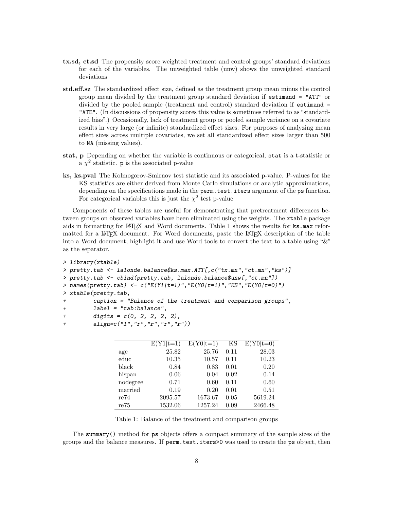- tx.sd, ct.sd The propensity score weighted treatment and control groups' standard deviations for each of the variables. The unweighted table (unw) shows the unweighted standard deviations
- std.eff.sz The standardized effect size, defined as the treatment group mean minus the control group mean divided by the treatment group standard deviation if estimand = "ATT" or divided by the pooled sample (treatment and control) standard deviation if estimand = "ATE". (In discussions of propensity scores this value is sometimes referred to as "standardized bias".) Occasionally, lack of treatment group or pooled sample variance on a covariate results in very large (or infinite) standardized effect sizes. For purposes of analyzing mean effect sizes across multiple covariates, we set all standardized effect sizes larger than 500 to NA (missing values).
- stat, p Depending on whether the variable is continuous or categorical, stat is a t-statistic or a  $\chi^2$  statistic. p is the associated p-value
- ks, ks.pval The Kolmogorov-Smirnov test statistic and its associated p-value. P-values for the KS statistics are either derived from Monte Carlo simulations or analytic approximations, depending on the specifications made in the perm.test.iters argument of the ps function. For categorical variables this is just the  $\chi^2$  test p-value

Components of these tables are useful for demonstrating that pretreatment differences between groups on observed variables have been eliminated using the weights. The xtable package aids in formatting for L<sup>AT</sup>EX and Word documents. Table 1 shows the results for ks.max reformatted for a LATEX document. For Word documents, paste the LATEX description of the table into a Word document, highlight it and use Word tools to convert the text to a table using "&" as the separator.

```
> library(xtable)
> pretty.tab \le lalonde.balance$ks.max.ATT[,c("tx.mn","ct.mn","ks")]
> pretty.tab <- cbind(pretty.tab, lalonde.balance$unw[,"ct.mn"])
> names(pretty.tab) <- c("E(Y1|t=1)","E(Y0|t=1)","KS","E(Y0|t=0)")
> xtable(pretty.tab,
+ caption = "Balance of the treatment and comparison groups",
         label = "tab:balance",
```

```
+ digits = c(0, 2, 2, 2, 2),
```

```
align = c("1", "r", "r", "r", "r",")
```

|          | $E(Y1 t=1)$ | $E(Y0 t=1)$ | ΚS   | $t=0$<br>E( |
|----------|-------------|-------------|------|-------------|
| age      | 25.82       | 25.76       | 0.11 | 28.03       |
| educ     | 10.35       | 10.57       | 0.11 | 10.23       |
| black    | 0.84        | 0.83        | 0.01 | 0.20        |
| hispan   | 0.06        | 0.04        | 0.02 | 0.14        |
| nodegree | 0.71        | 0.60        | 0.11 | 0.60        |
| married  | 0.19        | 0.20        | 0.01 | 0.51        |
| re74     | 2095.57     | 1673.67     | 0.05 | 5619.24     |
| re75     | 1532.06     | 1257.24     | 0.09 | 2466.48     |

Table 1: Balance of the treatment and comparison groups

The summary() method for ps objects offers a compact summary of the sample sizes of the groups and the balance measures. If perm.test.iters>0 was used to create the ps object, then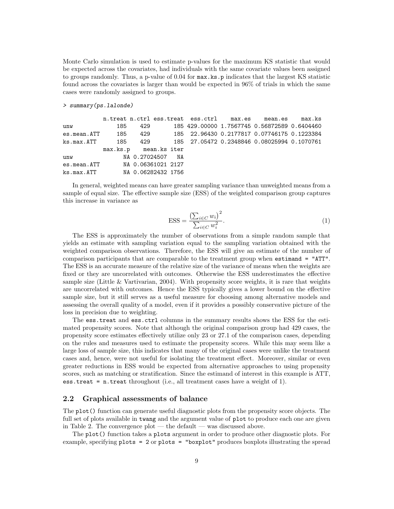Monte Carlo simulation is used to estimate p-values for the maximum KS statistic that would be expected across the covariates, had individuals with the same covariate values been assigned to groups randomly. Thus, a p-value of 0.04 for max.ks.p indicates that the largest KS statistic found across the covariates is larger than would be expected in 96% of trials in which the same cases were randomly assigned to groups.

### > summary(ps.lalonde)

|                                |     |     |                       |  | n.treat n.ctrl ess.treat ess.ctrl max.es mean.es max.ks |  |
|--------------------------------|-----|-----|-----------------------|--|---------------------------------------------------------|--|
| unw                            | 185 | 429 |                       |  | 185 429.00000 1.7567745 0.56872589 0.6404460            |  |
| es.mean.ATT 185                |     | 429 |                       |  | 185    22.96430    0.2177817    0.07746175    0.1223384 |  |
| ks.max.ATT                     | 185 | 429 |                       |  | 185 27.05472 0.2348846 0.08025994 0.1070761             |  |
|                                |     |     | max.ks.p mean.ks iter |  |                                                         |  |
| unw                            |     |     | NA 0.27024507 NA      |  |                                                         |  |
| es.mean.ATT NA 0.06361021 2127 |     |     |                       |  |                                                         |  |
| ks.max.ATT NA 0.06282432 1756  |     |     |                       |  |                                                         |  |

In general, weighted means can have greater sampling variance than unweighted means from a sample of equal size. The effective sample size (ESS) of the weighted comparison group captures this increase in variance as

$$
ESS = \frac{\left(\sum_{i \in C} w_i\right)^2}{\sum_{i \in C} w_i^2}.\tag{1}
$$

The ESS is approximately the number of observations from a simple random sample that yields an estimate with sampling variation equal to the sampling variation obtained with the weighted comparison observations. Therefore, the ESS will give an estimate of the number of comparison participants that are comparable to the treatment group when estimand = "ATT". The ESS is an accurate measure of the relative size of the variance of means when the weights are fixed or they are uncorrelated with outcomes. Otherwise the ESS underestimates the effective sample size (Little & Vartivarian, 2004). With propensity score weights, it is rare that weights are uncorrelated with outcomes. Hence the ESS typically gives a lower bound on the effective sample size, but it still serves as a useful measure for choosing among alternative models and assessing the overall quality of a model, even if it provides a possibly conservative picture of the loss in precision due to weighting.

The ess.treat and ess.ctrl columns in the summary results shows the ESS for the estimated propensity scores. Note that although the original comparison group had 429 cases, the propensity score estimates effectively utilize only 23 or 27.1 of the comparison cases, depending on the rules and measures used to estimate the propensity scores. While this may seem like a large loss of sample size, this indicates that many of the original cases were unlike the treatment cases and, hence, were not useful for isolating the treatment effect. Moreover, similar or even greater reductions in ESS would be expected from alternative approaches to using propensity scores, such as matching or stratification. Since the estimand of interest in this example is ATT, ess.treat = n.treat throughout (i.e., all treatment cases have a weight of 1).

### 2.2 Graphical assessments of balance

The plot() function can generate useful diagnostic plots from the propensity score objects. The full set of plots available in twang and the argument value of plot to produce each one are given in Table 2. The convergence  $plot$  — the default — was discussed above.

The plot() function takes a plots argument in order to produce other diagnostic plots. For example, specifying plots = 2 or plots = "boxplot" produces boxplots illustrating the spread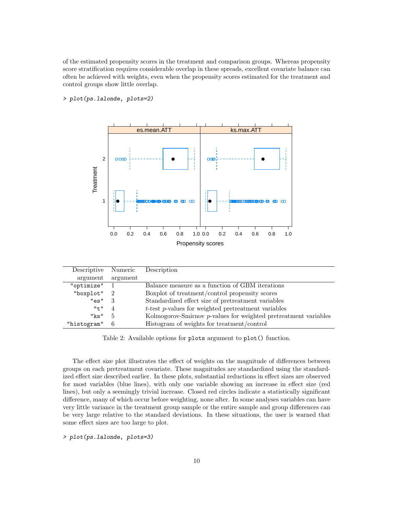of the estimated propensity scores in the treatment and comparison groups. Whereas propensity score stratification requires considerable overlap in these spreads, excellent covariate balance can often be achieved with weights, even when the propensity scores estimated for the treatment and control groups show little overlap.



## > plot(ps.lalonde, plots=2)

| Descriptive Numeric |                | Description                                                     |
|---------------------|----------------|-----------------------------------------------------------------|
| argument            | argument       |                                                                 |
| "optimize"          |                | Balance measure as a function of GBM iterations                 |
| "boxplot"           | $\overline{2}$ | Boxplot of treatment/control propensity scores                  |
| "es"                | 3              | Standardized effect size of pretreatment variables              |
| $" + "$             | 4              | t-test p-values for weighted pretreatment variables             |
| "ks"                | 5              | Kolmogorov-Smirnov p-values for weighted pretreatment variables |
| "histogram"         | 6              | Histogram of weights for treatment/control                      |

Table 2: Available options for plots argument to plot() function.

The effect size plot illustrates the effect of weights on the magnitude of differences between groups on each pretreatment covariate. These magnitudes are standardized using the standardized effect size described earlier. In these plots, substantial reductions in effect sizes are observed for most variables (blue lines), with only one variable showing an increase in effect size (red lines), but only a seemingly trivial increase. Closed red circles indicate a statistically significant difference, many of which occur before weighting, none after. In some analyses variables can have very little variance in the treatment group sample or the entire sample and group differences can be very large relative to the standard deviations. In these situations, the user is warned that some effect sizes are too large to plot.

> plot(ps.lalonde, plots=3)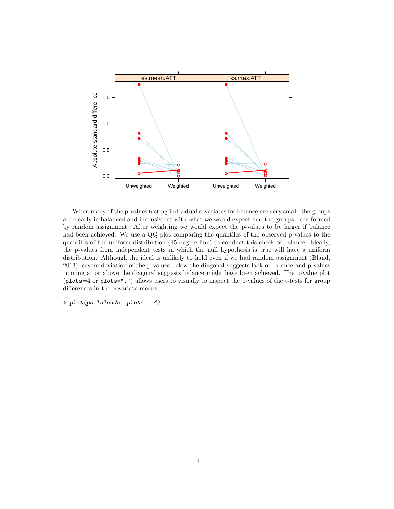

When many of the p-values testing individual covariates for balance are very small, the groups are clearly imbalanced and inconsistent with what we would expect had the groups been formed by random assignment. After weighting we would expect the p-values to be larger if balance had been achieved. We use a QQ plot comparing the quantiles of the observed p-values to the quantiles of the uniform distribution (45 degree line) to conduct this check of balance. Ideally, the p-values from independent tests in which the null hypothesis is true will have a uniform distribution. Although the ideal is unlikely to hold even if we had random assignment (Bland, 2013), severe deviation of the p-values below the diagonal suggests lack of balance and p-values running at or above the diagonal suggests balance might have been achieved. The p-value plot (plots=4 or plots="t") allows users to visually to inspect the p-values of the t-tests for group differences in the covariate means.

> plot(ps.lalonde, plots = 4)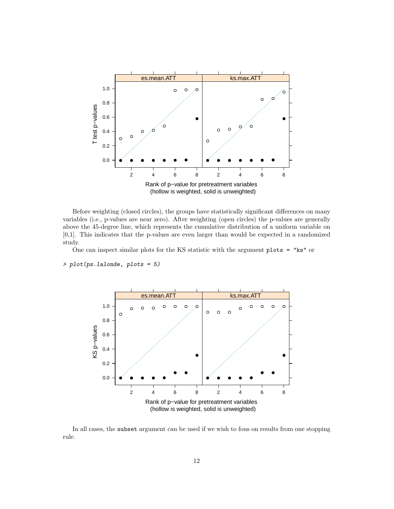

Before weighting (closed circles), the groups have statistically significant differences on many variables (i.e., p-values are near zero). After weighting (open circles) the p-values are generally above the 45-degree line, which represents the cumulative distribution of a uniform variable on [0,1]. This indicates that the p-values are even larger than would be expected in a randomized study.

One can inspect similar plots for the KS statistic with the argument plots = "ks" or

> plot(ps.lalonde, plots = 5)



In all cases, the subset argument can be used if we wish to fous on results from one stopping rule.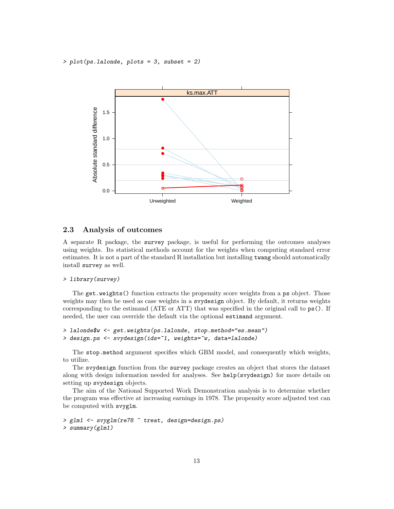> plot(ps.lalonde, plots = 3, subset = 2)



# 2.3 Analysis of outcomes

A separate R package, the survey package, is useful for performing the outcomes analyses using weights. Its statistical methods account for the weights when computing standard error estimates. It is not a part of the standard R installation but installing twang should automatically install survey as well.

### > library(survey)

The get.weights() function extracts the propensity score weights from a ps object. Those weights may then be used as case weights in a svydesign object. By default, it returns weights corresponding to the estimand (ATE or ATT) that was specified in the original call to ps(). If needed, the user can override the default via the optional estimand argument.

```
> lalonde$w <- get.weights(ps.lalonde, stop.method="es.mean")
> design.ps <- svydesign(ids=~1, weights=~w, data=lalonde)
```
The stop.method argument specifies which GBM model, and consequently which weights, to utilize.

The svydesign function from the survey package creates an object that stores the dataset along with design information needed for analyses. See help(svydesign) for more details on setting up svydesign objects.

The aim of the National Supported Work Demonstration analysis is to determine whether the program was effective at increasing earnings in 1978. The propensity score adjusted test can be computed with svyglm.

```
> glm1 <- svyglm(re78 ~ treat, design=design.ps)
> summary(glm1)
```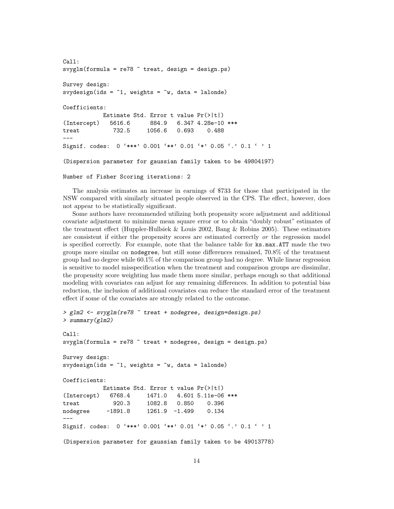```
Call:
svglm(formula = re78 \tilde{ }</math>treat, design = design.ps)Survey design:
svydesign(ids = \tilde{ }1, weights = \tilde{ }w, data = lalonde)
Coefficients:
            Estimate Std. Error t value Pr(>|t|)
(Intercept) 5616.6 884.9 6.347 4.28e-10 ***
treat 732.5 1056.6 0.693 0.488
---
Signif. codes: 0 '***' 0.001 '**' 0.01 '*' 0.05 '.' 0.1 ' ' 1
(Dispersion parameter for gaussian family taken to be 49804197)
Number of Fisher Scoring iterations: 2
```
The analysis estimates an increase in earnings of \$733 for those that participated in the NSW compared with similarly situated people observed in the CPS. The effect, however, does not appear to be statistically significant.

Some authors have recommended utilizing both propensity score adjustment and additional covariate adjustment to minimize mean square error or to obtain "doubly robust" estimates of the treatment effect (Huppler-Hullsiek & Louis 2002, Bang & Robins 2005). These estimators are consistent if either the propensity scores are estimated correctly or the regression model is specified correctly. For example, note that the balance table for ks.max.ATT made the two groups more similar on nodegree, but still some differences remained, 70.8% of the treatment group had no degree while 60.1% of the comparison group had no degree. While linear regression is sensitive to model misspecification when the treatment and comparison groups are dissimilar, the propensity score weighting has made them more similar, perhaps enough so that additional modeling with covariates can adjust for any remaining differences. In addition to potential bias reduction, the inclusion of additional covariates can reduce the standard error of the treatment effect if some of the covariates are strongly related to the outcome.

```
> glm2 <- svyglm(re78 ~ treat + nodegree, design=design.ps)
> summary(glm2)
Call:
svyglm(formula = re78 ~ treat + nodegree, design = design.ps)
Survey design:
svydesign(ids = \tilde{ }1, weights = \tilde{ }w, data = lalonde)
Coefficients:
           Estimate Std. Error t value Pr(>|t|)
(Intercept) 6768.4 1471.0 4.601 5.11e-06 ***
treat 920.3 1082.8 0.850 0.396
nodegree -1891.8 1261.9 -1.499 0.134
---
Signif. codes: 0 '***' 0.001 '**' 0.01 '*' 0.05 '.' 0.1 ' ' 1
(Dispersion parameter for gaussian family taken to be 49013778)
```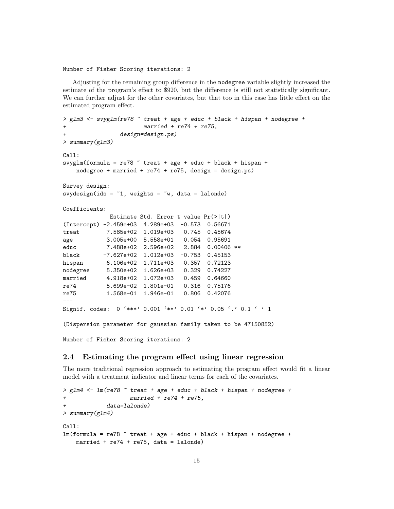Number of Fisher Scoring iterations: 2

Adjusting for the remaining group difference in the nodegree variable slightly increased the estimate of the program's effect to \$920, but the difference is still not statistically significant. We can further adjust for the other covariates, but that too in this case has little effect on the estimated program effect.

```
> glm3 <- svyglm(re78 ~ treat + age + educ + black + hispan + nodegree +
+ married + re74 + re75,
               design=design.ps)
> summary(glm3)
Call:
svglm(formula = re78 \tilde{ } treat + age + educ + black + hispan +
   nodegree + married + re74 + re75, design = design.ps)
Survey design:
svydesign(ids = \tilde{ }1, weights = \tilde{ }w, data = lalonde)
Coefficients:
            Estimate Std. Error t value Pr(>|t|)
(Intercept) -2.459e+03 4.289e+03 -0.573 0.56671
treat 7.585e+02 1.019e+03 0.745 0.45674
age 3.005e+00 5.558e+01 0.054 0.95691
educ 7.488e+02  2.596e+02  2.884  0.00406 **
black -7.627e+02 1.012e+03 -0.753 0.45153
hispan 6.106e+02 1.711e+03 0.357 0.72123
nodegree 5.350e+02 1.626e+03 0.329 0.74227
married 4.918e+02 1.072e+03 0.459 0.64660
re74 5.699e-02 1.801e-01 0.316 0.75176
re75 1.568e-01 1.946e-01 0.806 0.42076
---
Signif. codes: 0 '***' 0.001 '**' 0.01 '*' 0.05 '.' 0.1 ' ' 1
```
(Dispersion parameter for gaussian family taken to be 47150852)

```
Number of Fisher Scoring iterations: 2
```
### 2.4 Estimating the program effect using linear regression

The more traditional regression approach to estimating the program effect would fit a linear model with a treatment indicator and linear terms for each of the covariates.

```
> glm4 <- lm(re78 ~ treat + age + educ + black + hispan + nodegree +
+ married + re74 + re75,
            data=lalonde)
> summary(glm4)
Call:
lm(formula = re78 \tilde{ } treat + age + educ + black + hispan + nodegree +
   married + re74 + re75, data = lalonde)
```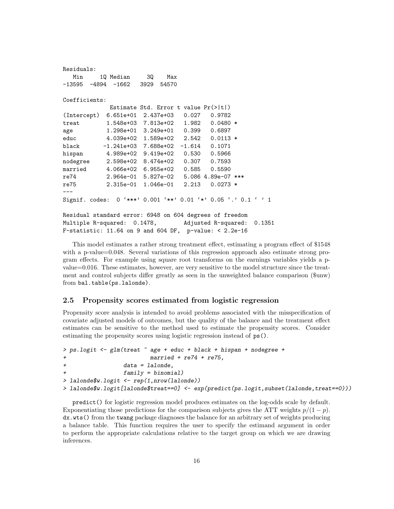```
Residuals:
  Min 1Q Median 3Q Max
-13595 -4894 -1662 3929 54570
Coefficients:
            Estimate Std. Error t value Pr(>|t|)
(Intercept) 6.651e+01 2.437e+03 0.027 0.9782
treat 1.548e+03 7.813e+02 1.982 0.0480 *
age 1.298e+01 3.249e+01 0.399 0.6897
educ 4.039e+02 1.589e+02 2.542 0.0113 *
black -1.241e+03 7.688e+02 -1.614 0.1071
hispan 4.989e+02 9.419e+02 0.530 0.5966
nodegree 2.598e+02 8.474e+02 0.307 0.7593
married 4.066e+02 6.955e+02 0.585 0.5590
re74 2.964e-01 5.827e-02 5.086 4.89e-07 ***
re75 2.315e-01 1.046e-01 2.213 0.0273 *
---
Signif. codes: 0 '***' 0.001 '**' 0.01 '*' 0.05 '.' 0.1 ' ' 1
Residual standard error: 6948 on 604 degrees of freedom
Multiple R-squared: 0.1478, Adjusted R-squared: 0.1351
F-statistic: 11.64 on 9 and 604 DF, p-value: < 2.2e-16
```
This model estimates a rather strong treatment effect, estimating a program effect of \$1548 with a p-value=0.048. Several variations of this regression approach also estimate strong program effects. For example using square root transforms on the earnings variables yields a pvalue=0.016. These estimates, however, are very sensitive to the model structure since the treatment and control subjects differ greatly as seen in the unweighted balance comparison (\$unw) from bal.table(ps.lalonde).

### 2.5 Propensity scores estimated from logistic regression

Propensity score analysis is intended to avoid problems associated with the misspecification of covariate adjusted models of outcomes, but the quality of the balance and the treatment effect estimates can be sensitive to the method used to estimate the propensity scores. Consider estimating the propensity scores using logistic regression instead of ps().

```
> ps.logit <- glm(treat ~ age + educ + black + hispan + nodegree +
+ married + re74 + re75,
+ data = lalonde,
+ family = binomial)
> lalonde$w.logit <- rep(1,nrow(lalonde))
> lalonde$w.logit[lalonde$treat==0] <- exp(predict(ps.logit,subset(lalonde,treat==0)))
```
predict() for logistic regression model produces estimates on the log-odds scale by default. Exponentiating those predictions for the comparison subjects gives the ATT weights  $p/(1-p)$ . dx.wts() from the twang package diagnoses the balance for an arbitrary set of weights producing a balance table. This function requires the user to specify the estimand argument in order to perform the appropriate calculations relative to the target group on which we are drawing inferences.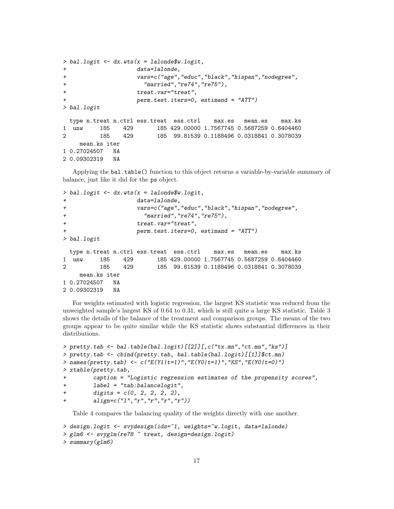```
> bal.logit \leq dx.wts(x = lalonde$w.logit,
+ data=lalonde,
+ vars=c("age","educ","black","hispan","nodegree",
+ "married","re74","re75"),
+ treat.var="treat",
+ perm.test.iters=0, estimand = "ATT")
> bal.logit
 type n.treat n.ctrl ess.treat ess.ctrl max.es mean.es max.ks
1 unw 185 429 185 429.00000 1.7567745 0.5687259 0.6404460
2 185 429 185 99.81539 0.1188496 0.0318841 0.3078039
   mean.ks iter
1 0.27024507 NA
2 0.09302319 NA
```
Applying the bal.table() function to this object returns a variable-by-variable summary of balance, just like it did for the ps object.

```
> bal.logit \leq dx.wts(x = lalonde$w.logit,
+ data=lalonde,
+ vars=c("age","educ","black","hispan","nodegree",
+ "married","re74","re75"),
+ treat.var="treat",
                 perm.test.iters=0, estimand = "ATT")> bal.logit
 type n.treat n.ctrl ess.treat ess.ctrl max.es mean.es max.ks
1 unw 185 429 185 429.00000 1.7567745 0.5687259 0.6404460
2 185 429 185 99.81539 0.1188496 0.0318841 0.3078039
   mean.ks iter
1 0.27024507 NA
2 0.09302319 NA
```
For weights estimated with logistic regression, the largest KS statistic was reduced from the unweighted sample's largest KS of 0.64 to 0.31, which is still quite a large KS statistic. Table 3 shows the details of the balance of the treatment and comparison groups. The means of the two groups appear to be quite similar while the KS statistic shows substantial differences in their distributions.

```
> pretty.tab <- bal.table(bal.logit)[[2]][,c("tx.mn","ct.mn","ks")]
> pretty.tab <- cbind(pretty.tab, bal.table(bal.logit)[[1]]$ct.mn)
> names(pretty.tab) <- c("E(Y1|t=1)","E(Y0|t=1)","KS","E(Y0|t=0)")
> xtable(pretty.tab,
+ caption = "Logistic regression estimates of the propensity scores",
+ label = "tab:balancelogit",
+ digits = c(0, 2, 2, 2, 2),
+ align=c("l","r","r","r","r"))
```
Table 4 compares the balancing quality of the weights directly with one another.

```
> design.logit <- svydesign(ids=~1, weights=~w.logit, data=lalonde)
> glm6 <- svyglm(re78 ~ treat, design=design.logit)
> summary(glm6)
```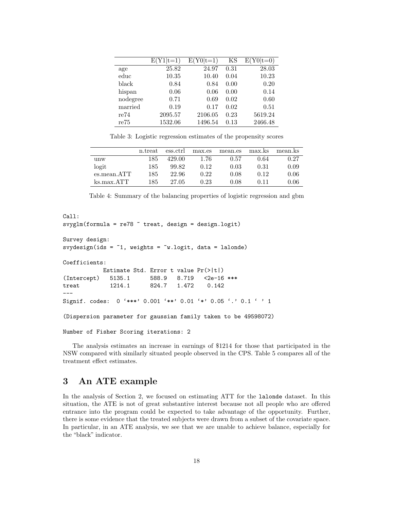|          | $E(Y1 t=1)$ | $E(Y0 t=1)$ | ΚS   | $E(Y0 t=0)$ |
|----------|-------------|-------------|------|-------------|
| age      | 25.82       | 24.97       | 0.31 | 28.03       |
| educ     | 10.35       | 10.40       | 0.04 | 10.23       |
| black    | 0.84        | 0.84        | 0.00 | 0.20        |
| hispan   | 0.06        | 0.06        | 0.00 | 0.14        |
| nodegree | 0.71        | 0.69        | 0.02 | 0.60        |
| married  | 0.19        | 0.17        | 0.02 | 0.51        |
| re74     | 2095.57     | 2106.05     | 0.23 | 5619.24     |
| re75     | 1532.06     | 1496.54     | 0.13 | 2466.48     |

Table 3: Logistic regression estimates of the propensity scores

|                 | n.treat | ess.ctrl | max.es | mean.es | max.ks | mean.ks |
|-----------------|---------|----------|--------|---------|--------|---------|
| $_{\text{unw}}$ | 185     | 429.00   | 1.76   | 0.57    | 0.64   | 0.27    |
| logit           | 185     | 99.82    | 0.12   | 0.03    | 0.31   | 0.09    |
| es.mean.ATT     | 185     | 22.96    | 0.22   | 0.08    | 0.12   | 0.06    |
| ks.max.ATT      | 185     | 27.05    | 0.23   | 0.08    | 0.11   | 0.06    |

Table 4: Summary of the balancing properties of logistic regression and gbm

```
Call:
svyglm(formula = re78 ~ treat, design = design.logit)
Survey design:
svydesign(ids = \tilde{ }1, weights = \tilde{ }w.logit, data = lalonde)
Coefficients:
           Estimate Std. Error t value Pr(>|t|)
(Intercept) 5135.1 588.9 8.719 <2e-16 ***
treat 1214.1 824.7 1.472 0.142
---
Signif. codes: 0 '***' 0.001 '**' 0.01 '*' 0.05 '.' 0.1 ' ' 1
(Dispersion parameter for gaussian family taken to be 49598072)
```
Number of Fisher Scoring iterations: 2

The analysis estimates an increase in earnings of \$1214 for those that participated in the NSW compared with similarly situated people observed in the CPS. Table 5 compares all of the treatment effect estimates.

# 3 An ATE example

In the analysis of Section 2, we focused on estimating ATT for the lalonde dataset. In this situation, the ATE is not of great substantive interest because not all people who are offered entrance into the program could be expected to take advantage of the opportunity. Further, there is some evidence that the treated subjects were drawn from a subset of the covariate space. In particular, in an ATE analysis, we see that we are unable to achieve balance, especially for the "black" indicator.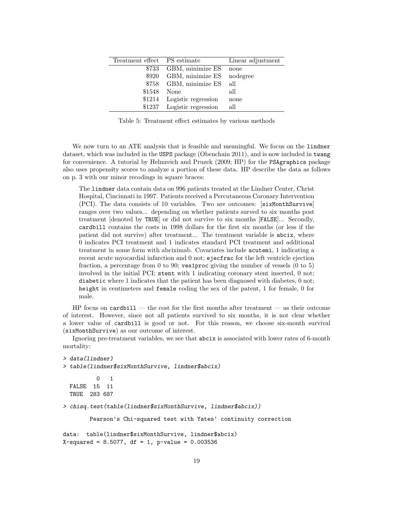| Treatment effect PS estimate |                            | Linear adjustment |
|------------------------------|----------------------------|-------------------|
|                              | \$733 GBM, minimize ES     | none              |
|                              | \$920 GBM, minimize ES     | nodegree          |
|                              | \$758 GBM, minimize ES     | all               |
| \$1548                       | None                       | all               |
|                              | \$1214 Logistic regression | none              |
|                              | \$1237 Logistic regression | all               |

Table 5: Treatment effect estimates by various methods

We now turn to an ATE analysis that is feasible and meaningful. We focus on the lindner dataset, which was included in the USPS package (Obenchain 2011), and is now included in twang for convenience. A tutorial by Helmreich and Pruzek (2009; HP) for the PSAgraphics package also uses propensity scores to analyze a portion of these data. HP describe the data as follows on p. 3 with our minor recodings in square braces:

The lindner data contain data on 996 patients treated at the Lindner Center, Christ Hospital, Cincinnati in 1997. Patients received a Percutaneous Coronary Intervention (PCI). The data consists of 10 variables. Two are outcomes: [sixMonthSurvive] ranges over two values... depending on whether patients surved to six months post treatment [denoted by TRUE] or did not survive to six months [FALSE]... Secondly, cardbill contains the costs in 1998 dollars for the first six months (or less if the patient did not survive) after treatment... The treatment variable is abcix, where 0 indicates PCI treatment and 1 indicates standard PCI treatment and additional treatment in some form with abciximab. Covariates include acutemi, 1 indicating a recent acute myocardial infarction and 0 not; ejecfrac for the left ventricle ejection fraction, a percentage from 0 to 90; ves1proc giving the number of vessels (0 to 5) involved in the initial PCI; stent with 1 indicating coronary stent inserted, 0 not; diabetic where 1 indicates that the patient has been diagnosed with diabetes, 0 not; height in centimeters and female coding the sex of the patent, 1 for female, 0 for male.

HP focus on cardbill — the cost for the first months after treatment — as their outcome of interest. However, since not all patients survived to six months, it is not clear whether a lower value of cardbill is good or not. For this reason, we choose six-month survival (sixMonthSurvive) as our outcome of interest.

Ignoring pre-treatment variables, we see that abcix is associated with lower rates of 6-month mortality:

```
> data(lindner)
> table(lindner$sixMonthSurvive, lindner$abcix)
         0 1
 FALSE 15 11
 TRUE 283 687
> chisq.test(table(lindner$sixMonthSurvive, lindner$abcix))
       Pearson's Chi-squared test with Yates' continuity correction
data: table(lindner$sixMonthSurvive, lindner$abcix)
```

```
X-squared = 8.5077, df = 1, p-value = 0.003536
```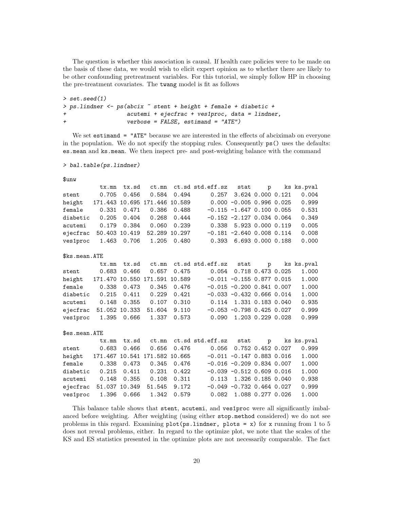The question is whether this association is causal. If health care policies were to be made on the basis of these data, we would wish to elicit expert opinion as to whether there are likely to be other confounding pretreatment variables. For this tutorial, we simply follow HP in choosing the pre-treatment covariates. The twang model is fit as follows

```
> set.seed(1)
> ps.lindner <- ps(abcix ~ stent + height + female + diabetic +
                 actemi + ejecfrac + ves1proc, data = lindner,+ verbose = FALSE, estimand = "ATE")
```
We set estimand = "ATE" because we are interested in the effects of abciximab on everyone in the population. We do not specify the stopping rules. Consequently ps() uses the defaults: es.mean and ks.mean. We then inspect pre- and post-weighting balance with the command

> bal.table(ps.lindner)

| $_{\text{unw}}$ |                |               |                        |               |                  |                              |                   |                 |            |
|-----------------|----------------|---------------|------------------------|---------------|------------------|------------------------------|-------------------|-----------------|------------|
|                 | tx.mn          | tx.sd         | ct.mn                  |               | ct.sd std.eff.sz | stat                         | p                 |                 | ks ks.pval |
| stent           | 0.705          | 0.456         | 0.584                  | 0.494         | 0.257            |                              | 3.624 0.000 0.121 |                 | 0.004      |
| height          | 171.443 10.695 |               | 171.446                | 10.589        |                  | $0.000 - 0.005 0.996 0.025$  |                   |                 | 0.999      |
| female          | 0.331          | 0.471         | 0.386                  | 0.488         |                  | $-0.115 -1.647 0.100 0.055$  |                   |                 | 0.531      |
| diabetic        | 0.205          | 0.404         | 0.268                  | 0.444         |                  | $-0.152 -2.127 0.034 0.064$  |                   |                 | 0.349      |
| acutemi         | 0.179          | 0.384         | 0.060                  | 0.239         | 0.338            |                              | 5.923 0.000 0.119 |                 | 0.005      |
| ejecfrac        |                | 50.403 10.419 |                        | 52.289 10.297 |                  | $-0.181 - 2.640 0.008 0.114$ |                   |                 | 0.008      |
| ves1proc        | 1.463          | 0.706         | 1.205                  | 0.480         | 0.393            |                              | 6.693 0.000 0.188 |                 | 0.000      |
| \$ks.mean.ATE   |                |               |                        |               |                  |                              |                   |                 |            |
|                 | tx.mn          | tx.sd         | ct.mn                  |               | ct.sd std.eff.sz | stat                         |                   | $p \rightarrow$ | ks ks.pval |
| stent           | 0.683          | 0.466         | 0.657                  | 0.475         | 0.054            |                              | 0.718 0.473 0.025 |                 | 1.000      |
| height          | 171.470 10.550 |               | 171.591                | 10.589        |                  | $-0.011 - 0.155 0.877 0.015$ |                   |                 | 1.000      |
| female          | 0.338          | 0.473         | 0.345                  | 0.476         |                  | $-0.015 - 0.200 0.841 0.007$ |                   |                 | 1.000      |
| diabetic        | 0.215          | 0.411         | 0.229                  | 0.421         |                  | $-0.033 -0.432 0.666 0.014$  |                   |                 | 1.000      |
| acutemi         | 0.148          | 0.355         | 0.107                  | 0.310         | 0.114            |                              | 1.331 0.183 0.040 |                 | 0.935      |
| ejecfrac        |                | 51.052 10.333 | 51.604                 | 9.110         |                  | $-0.053 -0.798 0.425 0.027$  |                   |                 | 0.999      |
| ves1proc        | 1.395          | 0.666         | 1.337                  | 0.573         | 0.090            |                              | 1.203 0.229 0.028 |                 | 0.999      |
| \$es.mean.ATE   |                |               |                        |               |                  |                              |                   |                 |            |
|                 | tx.mn          | tx.sd         | ct.mn                  |               | ct.sd std.eff.sz | stat                         | p                 |                 | ks ks.pval |
| stent           | 0.683          | 0.466         | 0.656                  | 0.476         | 0.056            |                              | 0.752 0.452 0.027 |                 | 0.999      |
| height          |                |               | 171.467 10.541 171.582 | 10.665        |                  | $-0.011 - 0.147 0.883 0.016$ |                   |                 | 1.000      |
| female          | 0.338          | 0.473         | 0.345                  | 0.476         |                  | $-0.016 - 0.209 0.834 0.007$ |                   |                 | 1.000      |
| diabetic        | 0.215          | 0.411         | 0.231                  | 0.422         |                  | $-0.039 -0.512 0.609 0.016$  |                   |                 | 1.000      |
| acutemi         | 0.148          | 0.355         | 0.108                  | 0.311         | 0.113            |                              | 1.326 0.185 0.040 |                 | 0.938      |
| ejecfrac        |                | 51.037 10.349 | 51.545                 | 9.172         |                  | $-0.049 - 0.732 0.464 0.027$ |                   |                 | 0.999      |
| ves1proc        | 1.396          | 0.666         | 1.342                  | 0.579         | 0.082            |                              | 1.088 0.277 0.026 |                 | 1.000      |

This balance table shows that stent, acutemi, and ves1proc were all significantly imbalanced before weighting. After weighting (using either stop.method considered) we do not see problems in this regard. Examining plot(ps.lindner, plots = x) for x running from 1 to 5 does not reveal problems, either. In regard to the optimize plot, we note that the scales of the KS and ES statistics presented in the optimize plots are not necessarily comparable. The fact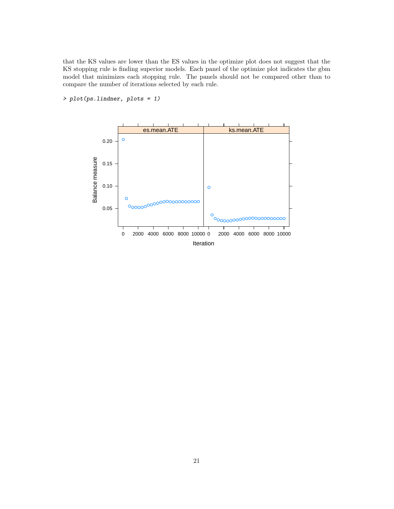that the KS values are lower than the ES values in the optimize plot does not suggest that the KS stopping rule is finding superior models. Each panel of the optimize plot indicates the gbm model that minimizes each stopping rule. The panels should not be compared other than to compare the number of iterations selected by each rule.



### > plot(ps.lindner, plots = 1)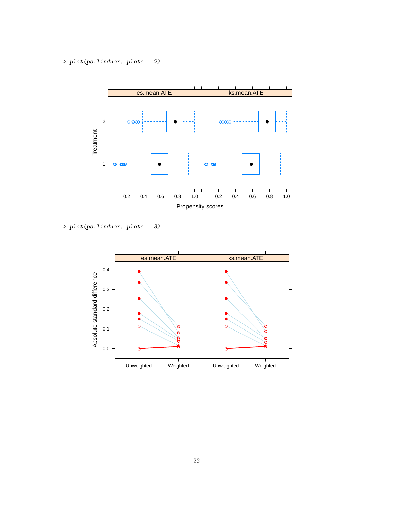> plot(ps.lindner, plots = 2)



> plot(ps.lindner, plots = 3)

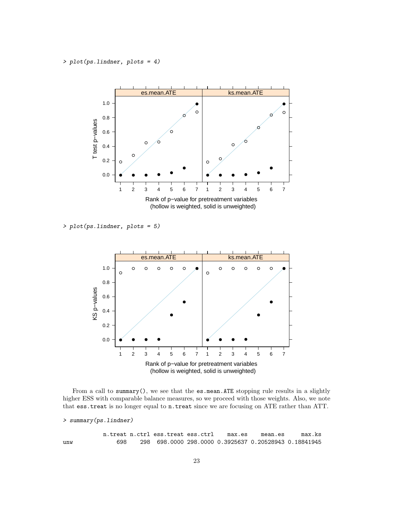> plot(ps.lindner, plots = 4)



> plot(ps.lindner, plots = 5)



From a call to summary(), we see that the es.mean.ATE stopping rule results in a slightly higher ESS with comparable balance measures, so we proceed with those weights. Also, we note that ess.treat is no longer equal to n.treat since we are focusing on ATE rather than ATT.

> summary(ps.lindner)

n.treat n.ctrl ess.treat ess.ctrl max.es mean.es max.ks unw 698 298 698.0000 298.0000 0.3925637 0.20528943 0.18841945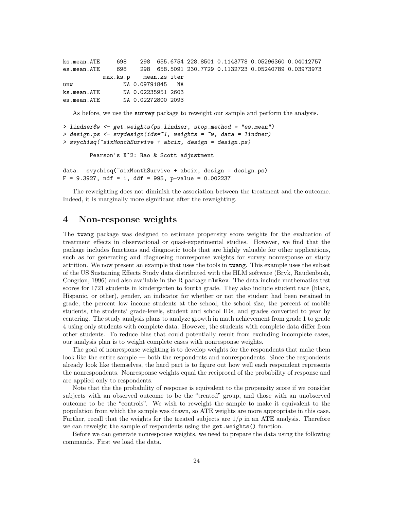ks.mean.ATE 698 298 655.6754 228.8501 0.1143778 0.05296360 0.04012757 es.mean.ATE 698 298 658.5091 230.7729 0.1132723 0.05240789 0.03973973 max.ks.p mean.ks iter unw NA 0.09791845 NA ks.mean.ATE NA 0.02235951 2603 es.mean.ATE NA 0.02272800 2093

As before, we use the survey package to reweight our sample and perform the analysis.

```
> lindner$w <- get.weights(ps.lindner, stop.method = "es.mean")
> design.ps <- svydesign(ids=~1, weights = ~w, data = lindner)
> svychisq(~sixMonthSurvive + abcix, design = design.ps)
```
Pearson's X^2: Rao & Scott adjustment

```
data: svychisq("sixMonthSurvive + abcix, design = design.ps)
F = 9.3927, ndf = 1, ddf = 995, p-value = 0.002237
```
The reweighting does not diminish the association between the treatment and the outcome. Indeed, it is marginally more significant after the reweighting.

# 4 Non-response weights

The twang package was designed to estimate propensity score weights for the evaluation of treatment effects in observational or quasi-experimental studies. However, we find that the package includes functions and diagnostic tools that are highly valuable for other applications, such as for generating and diagnosing nonresponse weights for survey nonresponse or study attrition. We now present an example that uses the tools in twang. This example uses the subset of the US Sustaining Effects Study data distributed with the HLM software (Bryk, Raudenbush, Congdon, 1996) and also available in the R package  $mlmRev$ . The data include mathematics test scores for 1721 students in kindergarten to fourth grade. They also include student race (black, Hispanic, or other), gender, an indicator for whether or not the student had been retained in grade, the percent low income students at the school, the school size, the percent of mobile students, the students' grade-levels, student and school IDs, and grades converted to year by centering. The study analysis plans to analyze growth in math achievement from grade 1 to grade 4 using only students with complete data. However, the students with complete data differ from other students. To reduce bias that could potentially result from excluding incomplete cases, our analysis plan is to weight complete cases with nonresponse weights.

The goal of nonresponse weighting is to develop weights for the respondents that make them look like the entire sample — both the respondents and nonrespondents. Since the respondents already look like themselves, the hard part is to figure out how well each respondent represents the nonrespondents. Nonresponse weights equal the reciprocal of the probability of response and are applied only to respondents.

Note that the the probability of response is equivalent to the propensity score if we consider subjects with an observed outcome to be the "treated" group, and those with an unobserved outcome to be the "controls". We wish to reweight the sample to make it equivalent to the population from which the sample was drawn, so ATE weights are more appropriate in this case. Further, recall that the weights for the treated subjects are  $1/p$  in an ATE analysis. Therefore we can reweight the sample of respondents using the get.weights() function.

Before we can generate nonresponse weights, we need to prepare the data using the following commands. First we load the data.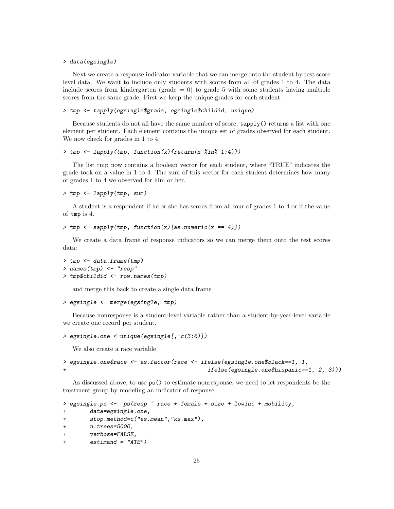#### > data(egsingle)

Next we create a response indicator variable that we can merge onto the student by test score level data. We want to include only students with scores from all of grades 1 to 4. The data include scores from kindergarten (grade  $= 0$ ) to grade 5 with some students having multiple scores from the same grade. First we keep the unique grades for each student:

#### > tmp <- tapply(egsingle\$grade, egsingle\$childid, unique)

Because students do not all have the same number of score, tapply() returns a list with one element per student. Each element contains the unique set of grades observed for each student. We now check for grades in 1 to 4:

### > tmp <- lapply(tmp, function(x){return(x %in% 1:4)})

The list tmp now contains a boolean vector for each student, where "TRUE" indicates the grade took on a value in 1 to 4. The sum of this vector for each student determines how many of grades 1 to 4 we observed for him or her.

```
> tmp <- lapply(tmp, sum)
```
A student is a respondent if he or she has scores from all four of grades 1 to 4 or if the value of tmp is 4.

```
> tmp <- sapply(tmp, function(x){as.numeric(x == 4)})
```
We create a data frame of response indicators so we can merge them onto the test scores data:

```
> tmp <- data.frame(tmp)
> names(tmp) <- "resp"
> tmp$childid <- row.names(tmp)
```
and merge this back to create a single data frame

```
> egsingle <- merge(egsingle, tmp)
```
Because nonresponse is a student-level variable rather than a student-by-year-level variable we create one record per student.

```
> egsingle.one <-unique(egsingle[,-c(3:6)])
```
We also create a race variable

```
> egsingle.one$race <- as.factor(race <- ifelse(egsingle.one$black==1, 1,
+ ifelse(egsingle.one$hispanic==1, 2, 3)))
```
As discussed above, to use ps() to estimate nonresponse, we need to let respondents be the treatment group by modeling an indicator of response.

```
> egsingle.ps <- ps(resp \tilde{z} race + female + size + lowinc + mobility,
+ data=egsingle.one,
+ stop.method=c("es.mean","ks.max"),
+ n.trees=5000,
+ verbose=FALSE,
+ estimand = "ATE")
```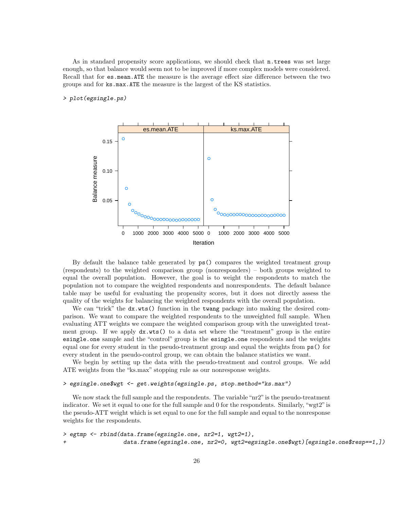As in standard propensity score applications, we should check that n.trees was set large enough, so that balance would seem not to be improved if more complex models were considered. Recall that for es.mean.ATE the measure is the average effect size difference between the two groups and for ks.max.ATE the measure is the largest of the KS statistics.

### > plot(egsingle.ps)



By default the balance table generated by ps() compares the weighted treatment group (respondents) to the weighted comparison group (nonresponders) – both groups weighted to equal the overall population. However, the goal is to weight the respondents to match the population not to compare the weighted respondents and nonrespondents. The default balance table may be useful for evaluating the propensity scores, but it does not directly assess the quality of the weights for balancing the weighted respondents with the overall population.

We can "trick" the  $dx.wts()$  function in the twang package into making the desired comparison. We want to compare the weighted respondents to the unweighted full sample. When evaluating ATT weights we compare the weighted comparison group with the unweighted treatment group. If we apply dx.wts() to a data set where the "treatment" group is the entire esingle.one sample and the "control" group is the esingle.one respondents and the weights equal one for every student in the pseudo-treatment group and equal the weights from ps() for every student in the pseudo-control group, we can obtain the balance statistics we want.

We begin by setting up the data with the pseudo-treatment and control groups. We add ATE weights from the "ks.max" stopping rule as our nonresponse weights.

### > egsingle.one\$wgt <- get.weights(egsingle.ps, stop.method="ks.max")

We now stack the full sample and the respondents. The variable "nr2" is the pseudo-treatment indicator. We set it equal to one for the full sample and 0 for the respondents. Similarly, "wgt2"is the pseudo-ATT weight which is set equal to one for the full sample and equal to the nonresponse weights for the respondents.

```
> egtmp <- rbind(data.frame(egsingle.one, nr2=1, wgt2=1),
+ data.frame(egsingle.one, nr2=0, wgt2=egsingle.one$wgt)[egsingle.one$resp==1,])
```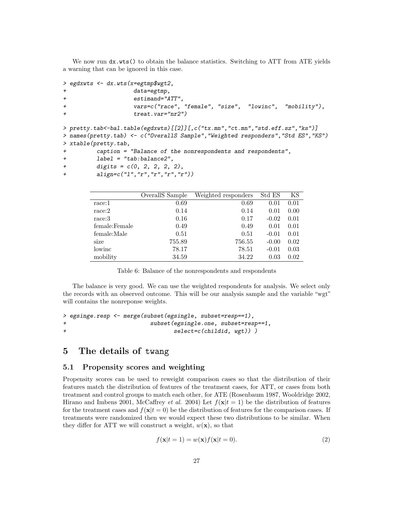We now run  $dx.wts()$  to obtain the balance statistics. Switching to ATT from ATE yields a warning that can be ignored in this case.

```
> egdxwts <- dx.wts(x=egtmp$wgt2,
+ data=egtmp,
+ estimand="ATT",
+ vars=c("race", "female", "size", "lowinc", "mobility"),
+ treat.var="nr2")
> pretty.tab<-bal.table(egdxwts)[[2]][,c("tx.mn","ct.mn","std.eff.sz","ks")]
> names(pretty.tab) <- c("OverallS Sample","Weighted responders","Std ES","KS")
> xtable(pretty.tab,
+ caption = "Balance of the nonrespondents and respondents",
+ label = "tab:balance2",
```

```
+ digits = c(0, 2, 2, 2, 2),
```

```
+ align=c("l","r","r","r","r"))
```

|               | OverallS Sample | Weighted responders | Std ES  | ΚS   |
|---------------|-----------------|---------------------|---------|------|
| race:1        | 0.69            | 0.69                | 0.01    | 0.01 |
| race:2        | 0.14            | 0.14                | 0.01    | 0.00 |
| race:3        | 0.16            | 0.17                | $-0.02$ | 0.01 |
| female:Female | 0.49            | 0.49                | 0.01    | 0.01 |
| female:Male   | 0.51            | 0.51                | $-0.01$ | 0.01 |
| size          | 755.89          | 756.55              | $-0.00$ | 0.02 |
| lowinc        | 78.17           | 78.51               | $-0.01$ | 0.03 |
| mobility      | 34.59           | 34.22               | 0.03    | 0.02 |

Table 6: Balance of the nonrespondents and respondents

The balance is very good. We can use the weighted respondents for analysis. We select only the records with an observed outcome. This will be our analysis sample and the variable "wgt" will contains the nonreponse weights.

```
> egsinge.resp <- merge(subset(egsingle, subset=resp==1),
+ subset(egsingle.one, subset=resp==1,
+ select=c(childid, wgt)) )
```
# 5 The details of twang

### 5.1 Propensity scores and weighting

Propensity scores can be used to reweight comparison cases so that the distribution of their features match the distribution of features of the treatment cases, for ATT, or cases from both treatment and control groups to match each other, for ATE (Rosenbaum 1987, Wooldridge 2002, Hirano and Imbens 2001, McCaffrey *et al.* 2004) Let  $f(\mathbf{x}|t = 1)$  be the distribution of features for the treatment cases and  $f(\mathbf{x}|t = 0)$  be the distribution of features for the comparison cases. If treatments were randomized then we would expect these two distributions to be similar. When they differ for ATT we will construct a weight,  $w(\mathbf{x})$ , so that

$$
f(\mathbf{x}|t=1) = w(\mathbf{x})f(\mathbf{x}|t=0).
$$
\n(2)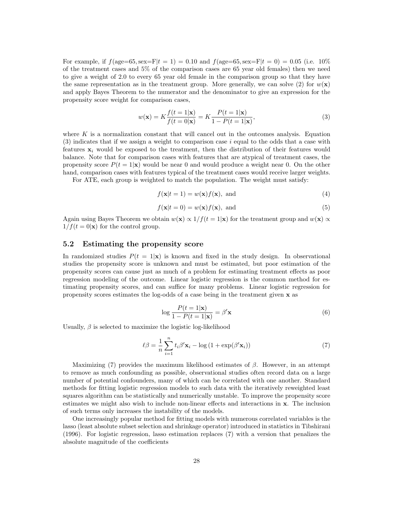For example, if  $f(\text{age}=65,\text{sex}=F|t=1) = 0.10$  and  $f(\text{age}=65,\text{sex}=F|t=0) = 0.05$  (i.e. 10%) of the treatment cases and 5% of the comparison cases are 65 year old females) then we need to give a weight of 2.0 to every 65 year old female in the comparison group so that they have the same representation as in the treatment group. More generally, we can solve (2) for  $w(\mathbf{x})$ and apply Bayes Theorem to the numerator and the denominator to give an expression for the propensity score weight for comparison cases,

$$
w(\mathbf{x}) = K \frac{f(t=1|\mathbf{x})}{f(t=0|\mathbf{x})} = K \frac{P(t=1|\mathbf{x})}{1 - P(t=1|\mathbf{x})},\tag{3}
$$

where  $K$  is a normalization constant that will cancel out in the outcomes analysis. Equation  $(3)$  indicates that if we assign a weight to comparison case i equal to the odds that a case with features  $x_i$  would be exposed to the treatment, then the distribution of their features would balance. Note that for comparison cases with features that are atypical of treatment cases, the propensity score  $P(t = 1|\mathbf{x})$  would be near 0 and would produce a weight near 0. On the other hand, comparison cases with features typical of the treatment cases would receive larger weights.

For ATE, each group is weighted to match the population. The weight must satisfy:

$$
f(\mathbf{x}|t=1) = w(\mathbf{x})f(\mathbf{x}), \text{ and} \tag{4}
$$

$$
f(\mathbf{x}|t=0) = w(\mathbf{x})f(\mathbf{x}), \text{ and}
$$
\n(5)

Again using Bayes Theorem we obtain  $w(x) \propto 1/f(t=1|x)$  for the treatment group and  $w(x) \propto$  $1/f(t=0|\mathbf{x})$  for the control group.

### 5.2 Estimating the propensity score

In randomized studies  $P(t = 1|\mathbf{x})$  is known and fixed in the study design. In observational studies the propensity score is unknown and must be estimated, but poor estimation of the propensity scores can cause just as much of a problem for estimating treatment effects as poor regression modeling of the outcome. Linear logistic regression is the common method for estimating propensity scores, and can suffice for many problems. Linear logistic regression for propensity scores estimates the log-odds of a case being in the treatment given x as

$$
\log \frac{P(t=1|\mathbf{x})}{1 - P(t=1|\mathbf{x})} = \beta' \mathbf{x}
$$
\n(6)

Usually,  $\beta$  is selected to maximize the logistic log-likelihood

$$
\ell\beta = \frac{1}{n}\sum_{i=1}^{n} t_i \beta' \mathbf{x}_i - \log\left(1 + \exp(\beta' \mathbf{x}_i)\right) \tag{7}
$$

Maximizing (7) provides the maximum likelihood estimates of  $\beta$ . However, in an attempt to remove as much confounding as possible, observational studies often record data on a large number of potential confounders, many of which can be correlated with one another. Standard methods for fitting logistic regression models to such data with the iteratively reweighted least squares algorithm can be statistically and numerically unstable. To improve the propensity score estimates we might also wish to include non-linear effects and interactions in x. The inclusion of such terms only increases the instability of the models.

One increasingly popular method for fitting models with numerous correlated variables is the lasso (least absolute subset selection and shrinkage operator) introduced in statistics in Tibshirani (1996). For logistic regression, lasso estimation replaces (7) with a version that penalizes the absolute magnitude of the coefficients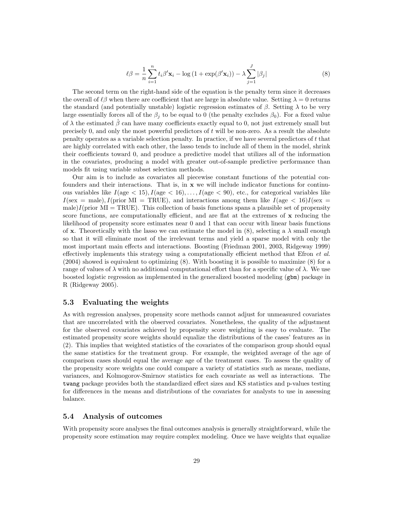$$
\ell\beta = \frac{1}{n}\sum_{i=1}^{n} t_i \beta' \mathbf{x}_i - \log\left(1 + \exp(\beta' \mathbf{x}_i)\right) - \lambda \sum_{j=1}^{J} |\beta_j| \tag{8}
$$

The second term on the right-hand side of the equation is the penalty term since it decreases the overall of  $\ell\beta$  when there are coefficient that are large in absolute value. Setting  $\lambda = 0$  returns the standard (and potentially unstable) logistic regression estimates of  $\beta$ . Setting  $\lambda$  to be very large essentially forces all of the  $\beta_i$  to be equal to 0 (the penalty excludes  $\beta_0$ ). For a fixed value of  $\lambda$  the estimated  $\hat{\beta}$  can have many coefficients exactly equal to 0, not just extremely small but precisely 0, and only the most powerful predictors of  $t$  will be non-zero. As a result the absolute penalty operates as a variable selection penalty. In practice, if we have several predictors of t that are highly correlated with each other, the lasso tends to include all of them in the model, shrink their coefficients toward 0, and produce a predictive model that utilizes all of the information in the covariates, producing a model with greater out-of-sample predictive performance than models fit using variable subset selection methods.

Our aim is to include as covariates all piecewise constant functions of the potential confounders and their interactions. That is, in  $x$  we will include indicator functions for continuous variables like  $I(\text{age} < 15)$ ,  $I(\text{age} < 16)$ , ...,  $I(\text{age} < 90)$ , etc., for categorical variables like  $I(\text{sex} = \text{male})$ ,  $I(\text{prior MI} = \text{TRUE})$ , and interactions among them like  $I(\text{age} < 16)I(\text{sex} =$ male) $I$ (prior MI = TRUE). This collection of basis functions spans a plausible set of propensity score functions, are computationally efficient, and are flat at the extremes of  $\bf{x}$  reducing the likelihood of propensity score estimates near 0 and 1 that can occur with linear basis functions of x. Theoretically with the lasso we can estimate the model in (8), selecting a  $\lambda$  small enough so that it will eliminate most of the irrelevant terms and yield a sparse model with only the most important main effects and interactions. Boosting (Friedman 2001, 2003, Ridgeway 1999) effectively implements this strategy using a computationally efficient method that Efron et al. (2004) showed is equivalent to optimizing (8). With boosting it is possible to maximize (8) for a range of values of  $\lambda$  with no additional computational effort than for a specific value of  $\lambda$ . We use boosted logistic regression as implemented in the generalized boosted modeling (gbm) package in R (Ridgeway 2005).

### 5.3 Evaluating the weights

As with regression analyses, propensity score methods cannot adjust for unmeasured covariates that are uncorrelated with the observed covariates. Nonetheless, the quality of the adjustment for the observed covariates achieved by propensity score weighting is easy to evaluate. The estimated propensity score weights should equalize the distributions of the cases' features as in (2). This implies that weighted statistics of the covariates of the comparison group should equal the same statistics for the treatment group. For example, the weighted average of the age of comparison cases should equal the average age of the treatment cases. To assess the quality of the propensity score weights one could compare a variety of statistics such as means, medians, variances, and Kolmogorov-Smirnov statistics for each covariate as well as interactions. The twang package provides both the standardized effect sizes and KS statistics and p-values testing for differences in the means and distributions of the covariates for analysts to use in assessing balance.

# 5.4 Analysis of outcomes

With propensity score analyses the final outcomes analysis is generally straightforward, while the propensity score estimation may require complex modeling. Once we have weights that equalize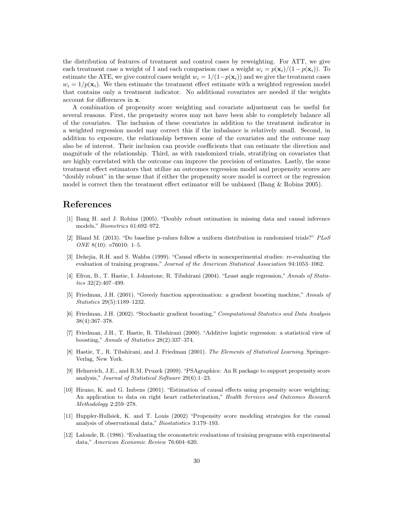the distribution of features of treatment and control cases by reweighting. For ATT, we give each treatment case a weight of 1 and each comparison case a weight  $w_i = p(\mathbf{x}_i)/(1-p(\mathbf{x}_i))$ . To estimate the ATE, we give control cases weight  $w_i = 1/(1-p(\mathbf{x}_i))$  and we give the treatment cases  $w_i = 1/p(\mathbf{x}_i)$ . We then estimate the treatment effect estimate with a weighted regression model that contains only a treatment indicator. No additional covariates are needed if the weights account for differences in x.

A combination of propensity score weighting and covariate adjustment can be useful for several reasons. First, the propensity scores may not have been able to completely balance all of the covariates. The inclusion of these covariates in addition to the treatment indicator in a weighted regression model may correct this if the imbalance is relatively small. Second, in addition to exposure, the relationship between some of the covariates and the outcome may also be of interest. Their inclusion can provide coefficients that can estimate the direction and magnitude of the relationship. Third, as with randomized trials, stratifying on covariates that are highly correlated with the outcome can improve the precision of estimates. Lastly, the some treatment effect estimators that utilize an outcomes regression model and propensity scores are "doubly robust" in the sense that if either the propensity score model is correct or the regression model is correct then the treatment effect estimator will be unbiased (Bang  $\&$  Robins 2005).

# References

- [1] Bang H. and J. Robins (2005). "Doubly robust estimation in missing data and causal inference models," Biometrics 61:692–972.
- [2] Bland M. (2013). "Do baseline p-values follow a uniform distribution in randomised trials?" PLoS ONE 8(10): e76010: 1–5.
- [3] Dehejia, R.H. and S. Wahba (1999). "Causal effects in nonexperimental studies: re-evaluating the evaluation of training programs," Journal of the American Statistical Association 94:1053–1062.
- [4] Efron, B., T. Hastie, I. Johnstone, R. Tibshirani (2004). "Least angle regression," Annals of Statistics 32(2):407–499.
- [5] Friedman, J.H. (2001). "Greedy function approximation: a gradient boosting machine," Annals of Statistics 29(5):1189–1232.
- [6] Friedman, J.H. (2002). "Stochastic gradient boosting," Computational Statistics and Data Analysis 38(4):367–378.
- [7] Friedman, J.H., T. Hastie, R. Tibshirani (2000). "Additive logistic regression: a statistical view of boosting," Annals of Statistics 28(2):337–374.
- [8] Hastie, T., R. Tibshirani, and J. Friedman (2001). The Elements of Statistical Learning. Springer-Verlag, New York.
- [9] Helmreich, J.E., and R.M. Pruzek (2009). "PSAgraphics: An R package to support propensity score analysis," Journal of Statistical Software 29(6):1–23.
- [10] Hirano, K. and G. Imbens (2001). "Estimation of causal effects using propensity score weighting: An application to data on right heart catheterization," Health Services and Outcomes Research Methodology 2:259–278.
- [11] Huppler-Hullsiek, K. and T. Louis (2002) "Propensity score modeling strategies for the causal analysis of observational data," Biostatistics 3:179–193.
- [12] Lalonde, R. (1986). "Evaluating the econometric evaluations of training programs with experimental data," American Economic Review 76:604–620.